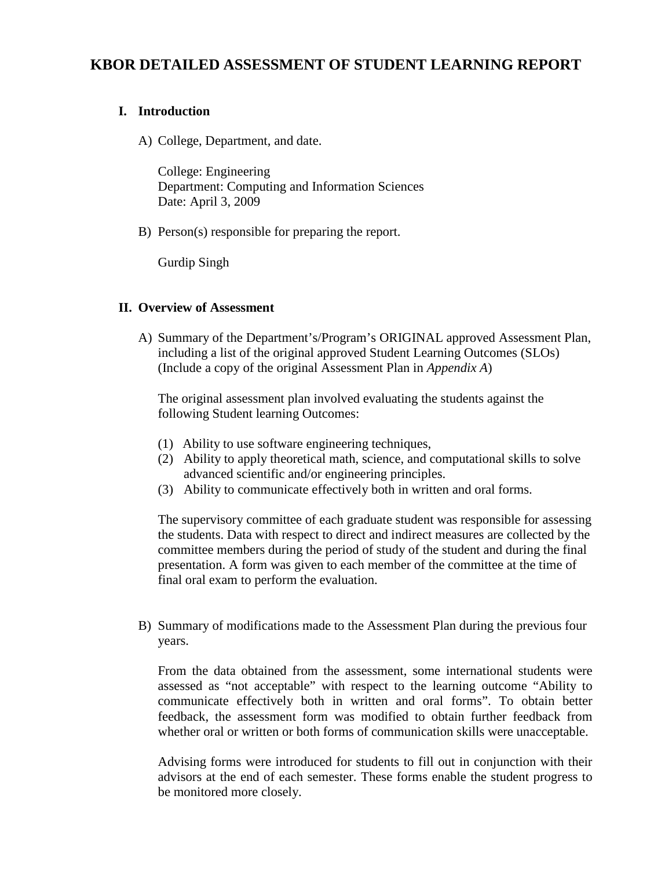## **KBOR DETAILED ASSESSMENT OF STUDENT LEARNING REPORT**

## **I. Introduction**

A) College, Department, and date.

College: Engineering Department: Computing and Information Sciences Date: April 3, 2009

B) Person(s) responsible for preparing the report.

Gurdip Singh

## **II. Overview of Assessment**

A) Summary of the Department's/Program's ORIGINAL approved Assessment Plan, including a list of the original approved Student Learning Outcomes (SLOs) (Include a copy of the original Assessment Plan in *Appendix A*)

The original assessment plan involved evaluating the students against the following Student learning Outcomes:

- (1) Ability to use software engineering techniques,
- (2) Ability to apply theoretical math, science, and computational skills to solve advanced scientific and/or engineering principles.
- (3) Ability to communicate effectively both in written and oral forms.

The supervisory committee of each graduate student was responsible for assessing the students. Data with respect to direct and indirect measures are collected by the committee members during the period of study of the student and during the final presentation. A form was given to each member of the committee at the time of final oral exam to perform the evaluation.

B) Summary of modifications made to the Assessment Plan during the previous four years.

From the data obtained from the assessment, some international students were assessed as "not acceptable" with respect to the learning outcome "Ability to communicate effectively both in written and oral forms". To obtain better feedback, the assessment form was modified to obtain further feedback from whether oral or written or both forms of communication skills were unacceptable.

Advising forms were introduced for students to fill out in conjunction with their advisors at the end of each semester. These forms enable the student progress to be monitored more closely.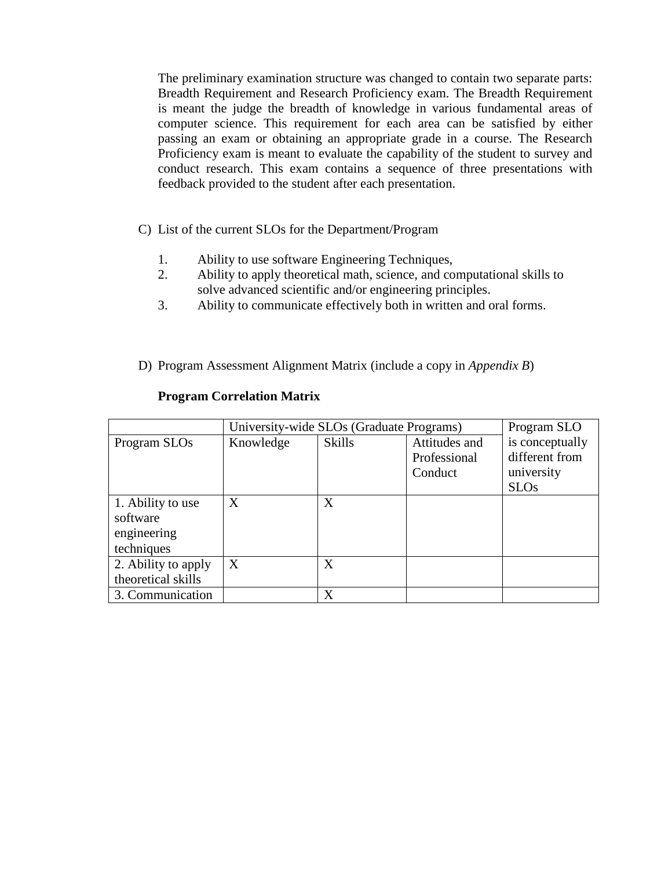The preliminary examination structure was changed to contain two separate parts: Breadth Requirement and Research Proficiency exam. The Breadth Requirement is meant the judge the breadth of knowledge in various fundamental areas of computer science. This requirement for each area can be satisfied by either passing an exam or obtaining an appropriate grade in a course. The Research Proficiency exam is meant to evaluate the capability of the student to survey and conduct research. This exam contains a sequence of three presentations with feedback provided to the student after each presentation.

- C) List of the current SLOs for the Department/Program
	- 1. Ability to use software Engineering Techniques,
	- 2. Ability to apply theoretical math, science, and computational skills to solve advanced scientific and/or engineering principles.
	- 3. Ability to communicate effectively both in written and oral forms.
- D) Program Assessment Alignment Matrix (include a copy in *Appendix B*)

|                     | University-wide SLOs (Graduate Programs) | Program SLO   |               |                 |
|---------------------|------------------------------------------|---------------|---------------|-----------------|
| Program SLOs        | Knowledge                                | <b>Skills</b> | Attitudes and | is conceptually |
|                     |                                          |               | Professional  | different from  |
|                     |                                          |               | Conduct       | university      |
|                     |                                          |               |               | <b>SLOs</b>     |
| 1. Ability to use   | X                                        | X             |               |                 |
| software            |                                          |               |               |                 |
| engineering         |                                          |               |               |                 |
| techniques          |                                          |               |               |                 |
| 2. Ability to apply | X                                        | X             |               |                 |
| theoretical skills  |                                          |               |               |                 |
| 3. Communication    |                                          | X             |               |                 |

### **Program Correlation Matrix**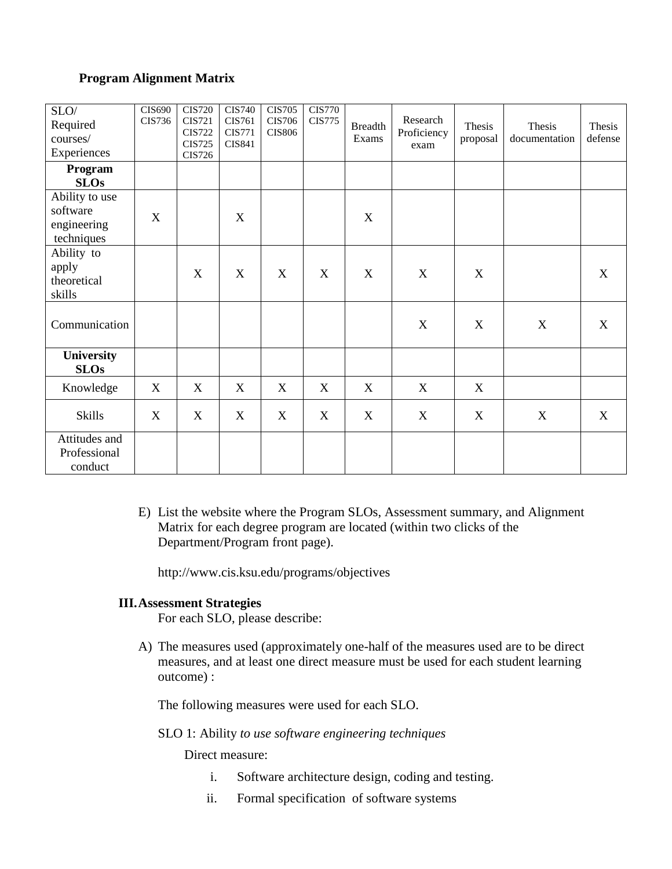### **Program Alignment Matrix**

| $\mathrm{SLO}/$<br>Required<br>courses/<br>Experiences  | <b>CIS690</b><br>CIS736 | <b>CIS720</b><br><b>CIS721</b><br><b>CIS722</b><br><b>CIS725</b><br><b>CIS726</b> | <b>CIS740</b><br>CIS761<br><b>CIS771</b><br><b>CIS841</b> | <b>CIS705</b><br><b>CIS706</b><br><b>CIS806</b> | <b>CIS770</b><br><b>CIS775</b> | <b>Breadth</b><br>Exams | Research<br>Proficiency<br>exam | Thesis<br>proposal | Thesis<br>documentation | Thesis<br>defense |
|---------------------------------------------------------|-------------------------|-----------------------------------------------------------------------------------|-----------------------------------------------------------|-------------------------------------------------|--------------------------------|-------------------------|---------------------------------|--------------------|-------------------------|-------------------|
| Program<br><b>SLOs</b>                                  |                         |                                                                                   |                                                           |                                                 |                                |                         |                                 |                    |                         |                   |
| Ability to use<br>software<br>engineering<br>techniques | $\mathbf X$             |                                                                                   | $\mathbf X$                                               |                                                 |                                | X                       |                                 |                    |                         |                   |
| Ability to<br>apply<br>theoretical<br>skills            |                         | X                                                                                 | X                                                         | X                                               | X                              | X                       | X                               | X                  |                         | X                 |
| Communication                                           |                         |                                                                                   |                                                           |                                                 |                                |                         | X                               | $\mathbf X$        | X                       | X                 |
| University<br><b>SLOs</b>                               |                         |                                                                                   |                                                           |                                                 |                                |                         |                                 |                    |                         |                   |
| Knowledge                                               | X                       | X                                                                                 | X                                                         | X                                               | X                              | X                       | X                               | X                  |                         |                   |
| <b>Skills</b>                                           | X                       | X                                                                                 | X                                                         | X                                               | X                              | X                       | X                               | X                  | X                       | $\boldsymbol{X}$  |
| Attitudes and<br>Professional<br>conduct                |                         |                                                                                   |                                                           |                                                 |                                |                         |                                 |                    |                         |                   |

E) List the website where the Program SLOs, Assessment summary, and Alignment Matrix for each degree program are located (within two clicks of the Department/Program front page).

http://www.cis.ksu.edu/programs/objectives

#### **III.Assessment Strategies**

For each SLO, please describe:

A) The measures used (approximately one-half of the measures used are to be direct measures, and at least one direct measure must be used for each student learning outcome) :

The following measures were used for each SLO.

#### SLO 1: Ability *to use software engineering techniques*

Direct measure:

- i. Software architecture design, coding and testing.
- ii. Formal specification of software systems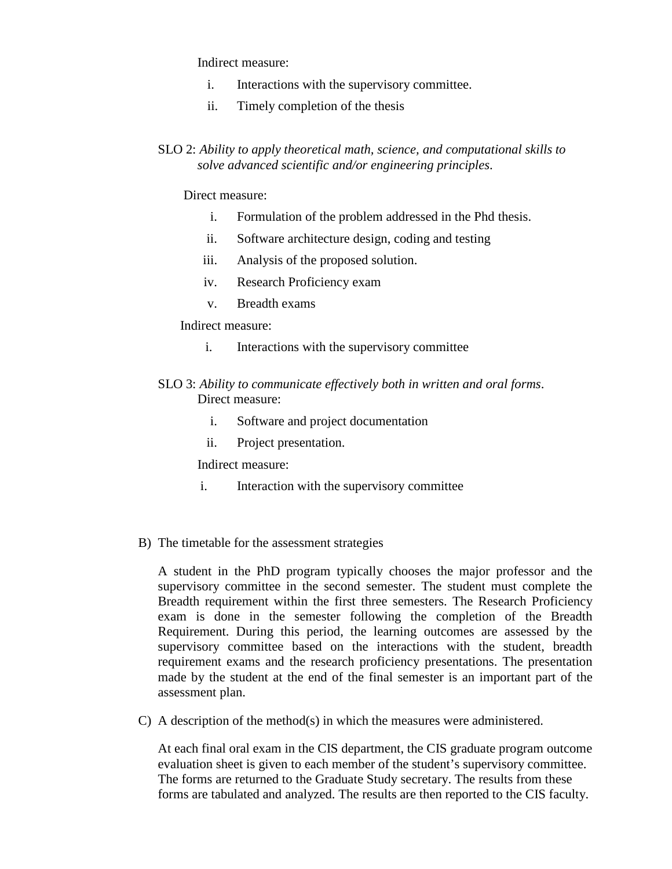Indirect measure:

- i. Interactions with the supervisory committee.
- ii. Timely completion of the thesis
- SLO 2: *Ability to apply theoretical math, science, and computational skills to solve advanced scientific and/or engineering principles*.

#### Direct measure:

- i. Formulation of the problem addressed in the Phd thesis.
- ii. Software architecture design, coding and testing
- iii. Analysis of the proposed solution.
- iv. Research Proficiency exam
- v. Breadth exams

Indirect measure:

i. Interactions with the supervisory committee

## SLO 3: *Ability to communicate effectively both in written and oral forms*. Direct measure:

- i. Software and project documentation
- ii. Project presentation.

Indirect measure:

- i. Interaction with the supervisory committee
- B) The timetable for the assessment strategies

A student in the PhD program typically chooses the major professor and the supervisory committee in the second semester. The student must complete the Breadth requirement within the first three semesters. The Research Proficiency exam is done in the semester following the completion of the Breadth Requirement. During this period, the learning outcomes are assessed by the supervisory committee based on the interactions with the student, breadth requirement exams and the research proficiency presentations. The presentation made by the student at the end of the final semester is an important part of the assessment plan.

C) A description of the method(s) in which the measures were administered.

At each final oral exam in the CIS department, the CIS graduate program outcome evaluation sheet is given to each member of the student's supervisory committee. The forms are returned to the Graduate Study secretary. The results from these forms are tabulated and analyzed. The results are then reported to the CIS faculty.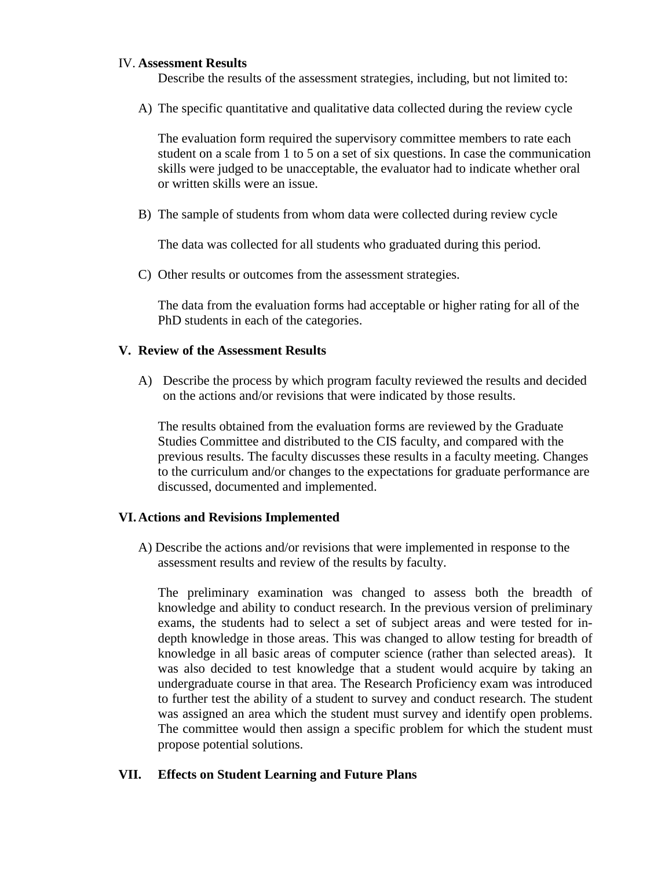### IV. **Assessment Results**

Describe the results of the assessment strategies, including, but not limited to:

A) The specific quantitative and qualitative data collected during the review cycle

The evaluation form required the supervisory committee members to rate each student on a scale from 1 to 5 on a set of six questions. In case the communication skills were judged to be unacceptable, the evaluator had to indicate whether oral or written skills were an issue.

B) The sample of students from whom data were collected during review cycle

The data was collected for all students who graduated during this period.

C) Other results or outcomes from the assessment strategies.

The data from the evaluation forms had acceptable or higher rating for all of the PhD students in each of the categories.

### **V. Review of the Assessment Results**

A) Describe the process by which program faculty reviewed the results and decided on the actions and/or revisions that were indicated by those results.

The results obtained from the evaluation forms are reviewed by the Graduate Studies Committee and distributed to the CIS faculty, and compared with the previous results. The faculty discusses these results in a faculty meeting. Changes to the curriculum and/or changes to the expectations for graduate performance are discussed, documented and implemented.

## **VI.Actions and Revisions Implemented**

A) Describe the actions and/or revisions that were implemented in response to the assessment results and review of the results by faculty.

The preliminary examination was changed to assess both the breadth of knowledge and ability to conduct research. In the previous version of preliminary exams, the students had to select a set of subject areas and were tested for indepth knowledge in those areas. This was changed to allow testing for breadth of knowledge in all basic areas of computer science (rather than selected areas). It was also decided to test knowledge that a student would acquire by taking an undergraduate course in that area. The Research Proficiency exam was introduced to further test the ability of a student to survey and conduct research. The student was assigned an area which the student must survey and identify open problems. The committee would then assign a specific problem for which the student must propose potential solutions.

## **VII. Effects on Student Learning and Future Plans**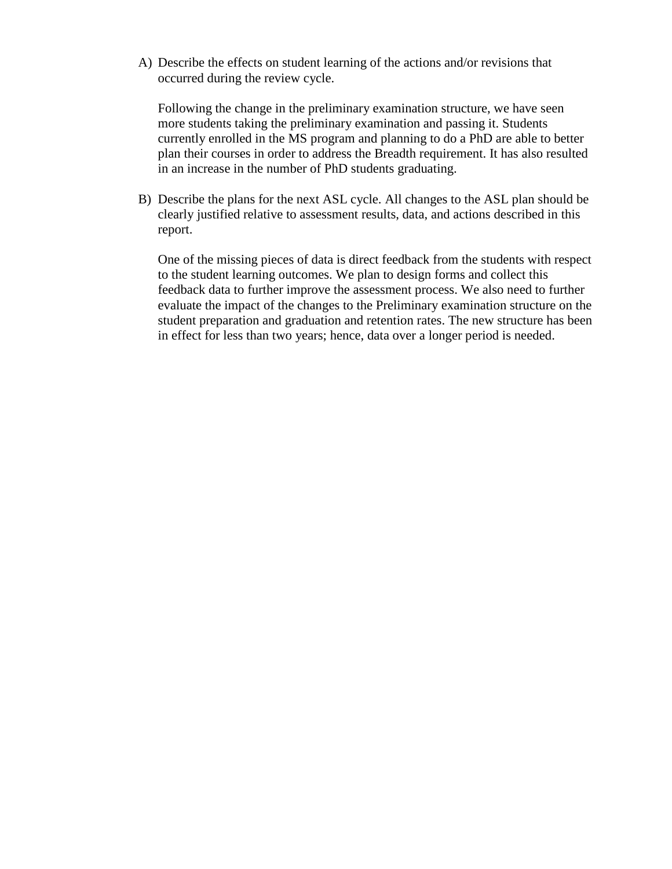A) Describe the effects on student learning of the actions and/or revisions that occurred during the review cycle.

Following the change in the preliminary examination structure, we have seen more students taking the preliminary examination and passing it. Students currently enrolled in the MS program and planning to do a PhD are able to better plan their courses in order to address the Breadth requirement. It has also resulted in an increase in the number of PhD students graduating.

B) Describe the plans for the next ASL cycle. All changes to the ASL plan should be clearly justified relative to assessment results, data, and actions described in this report.

One of the missing pieces of data is direct feedback from the students with respect to the student learning outcomes. We plan to design forms and collect this feedback data to further improve the assessment process. We also need to further evaluate the impact of the changes to the Preliminary examination structure on the student preparation and graduation and retention rates. The new structure has been in effect for less than two years; hence, data over a longer period is needed.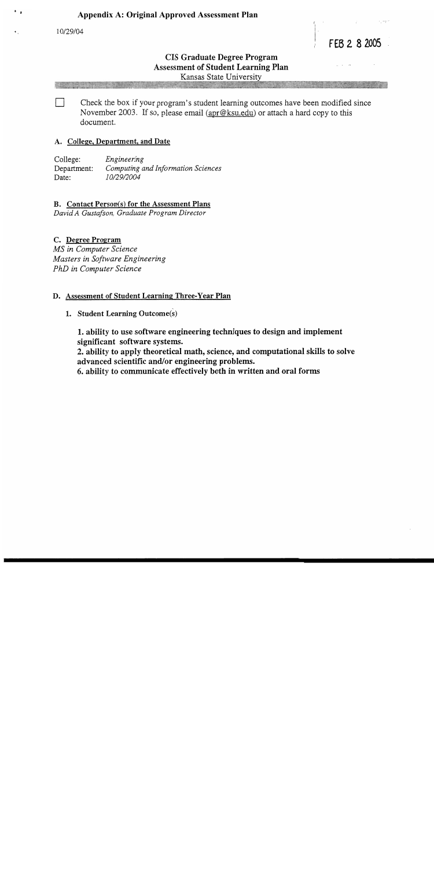10/29/04

FEB 2 8 2005

## **CIS Graduate Degree Program Assessment of Student Learning Plan** Kansas State University

Check the box if your program's student learning outcomes have been modified since November 2003. If so, please email (apr@ksu.edu) or attach a hard copy to this document.

#### A. College, Department, and Date

College: Engineering Computing and Information Sciences Department: 10/29/2004 Date:

**B.** Contact Person(s) for the Assessment Plans

David A Gustafson, Graduate Program Director

#### C. Degree Program

MS in Computer Science Masters in Software Engineering PhD in Computer Science

#### D. Assessment of Student Learning Three-Year Plan

1. Student Learning Outcome(s)

1. ability to use software engineering techniques to design and implement significant software systems.

2. ability to apply theoretical math, science, and computational skills to solve advanced scientific and/or engineering problems.

6. ability to communicate effectively both in written and oral forms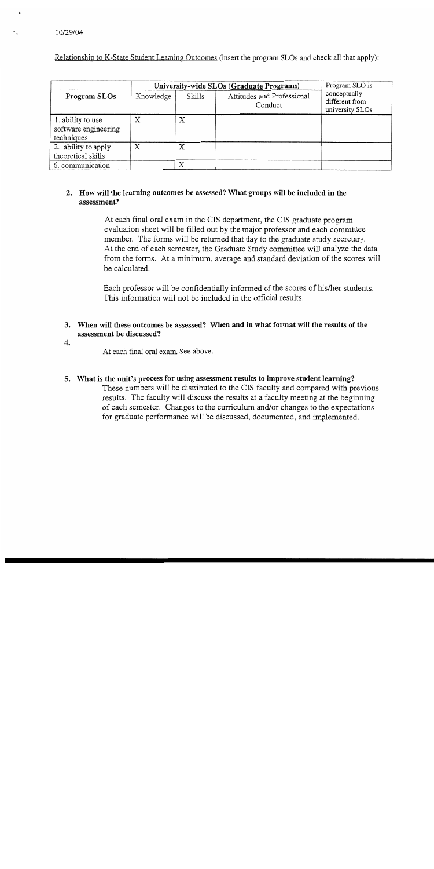Relationship to K-State Student Learning Outcomes (insert the program SLOs and check all that apply):

|                                                         | University-wide SLOs (Graduate Programs) | Program SLO is |                                       |                                                   |  |
|---------------------------------------------------------|------------------------------------------|----------------|---------------------------------------|---------------------------------------------------|--|
| Program SLOs                                            | Knowledge                                | Skills         | Attitudes and Professional<br>Conduct | conceptually<br>different from<br>university SLOs |  |
| 1. ability to use<br>software engineering<br>techniques | Χ                                        | Χ              |                                       |                                                   |  |
| 2. ability to apply<br>theoretical skills               | X                                        | X              |                                       |                                                   |  |
| 6. communication                                        |                                          | Х              |                                       |                                                   |  |

### 2. How will the learning outcomes be assessed? What groups will be included in the assessment?

At each final oral exam in the CIS department, the CIS graduate program evaluation sheet will be filled out by the major professor and each committee member. The forms will be returned that day to the graduate study secretary. At the end of each semester, the Graduate Study committee will analyze the data from the forms. At a minimum, average and standard deviation of the scores will be calculated.

Each professor will be confidentially informed of the scores of his/her students. This information will not be included in the official results.

#### 3. When will these outcomes be assessed? When and in what format will the results of the assessment be discussed?

4.

At each final oral exam. See above.

5. What is the unit's process for using assessment results to improve student learning? These numbers will be distributed to the CIS faculty and compared with previous results. The faculty will discuss the results at a faculty meeting at the beginning of each semester. Changes to the curriculum and/or changes to the expectations for graduate performance will be discussed, documented, and implemented.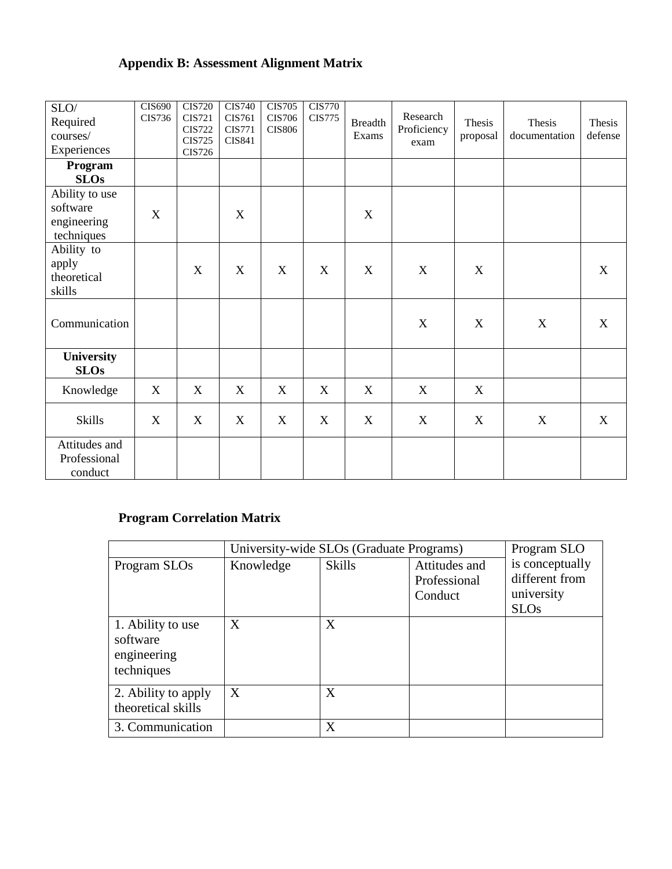# **Appendix B: Assessment Alignment Matrix**

| SLO/<br>Required<br>courses/<br>Experiences             | <b>CIS690</b><br>CIS736 | <b>CIS720</b><br><b>CIS721</b><br><b>CIS722</b><br><b>CIS725</b><br><b>CIS726</b> | <b>CIS740</b><br>CIS761<br><b>CIS771</b><br><b>CIS841</b> | <b>CIS705</b><br><b>CIS706</b><br><b>CIS806</b> | <b>CIS770</b><br><b>CIS775</b> | <b>Breadth</b><br>Exams | Research<br>Proficiency<br>exam | Thesis<br>proposal | Thesis<br>documentation | Thesis<br>defense |
|---------------------------------------------------------|-------------------------|-----------------------------------------------------------------------------------|-----------------------------------------------------------|-------------------------------------------------|--------------------------------|-------------------------|---------------------------------|--------------------|-------------------------|-------------------|
| Program<br><b>SLOs</b>                                  |                         |                                                                                   |                                                           |                                                 |                                |                         |                                 |                    |                         |                   |
| Ability to use<br>software<br>engineering<br>techniques | X                       |                                                                                   | X                                                         |                                                 |                                | X                       |                                 |                    |                         |                   |
| Ability to<br>apply<br>theoretical<br>skills            |                         | $\mathbf X$                                                                       | $\boldsymbol{\mathrm{X}}$                                 | X                                               | X                              | $\mathbf X$             | X                               | X                  |                         | X                 |
| Communication                                           |                         |                                                                                   |                                                           |                                                 |                                |                         | X                               | X                  | X                       | $\mathbf X$       |
| University<br><b>SLOs</b>                               |                         |                                                                                   |                                                           |                                                 |                                |                         |                                 |                    |                         |                   |
| Knowledge                                               | X                       | X                                                                                 | X                                                         | X                                               | X                              | X                       | X                               | X                  |                         |                   |
| <b>Skills</b>                                           | X                       | X                                                                                 | X                                                         | X                                               | X                              | $\mathbf X$             | X                               | X                  | $\mathbf X$             | X                 |
| Attitudes and<br>Professional<br>conduct                |                         |                                                                                   |                                                           |                                                 |                                |                         |                                 |                    |                         |                   |

# **Program Correlation Matrix**

|                                                            | University-wide SLOs (Graduate Programs) | Program SLO   |                                          |                                                                |
|------------------------------------------------------------|------------------------------------------|---------------|------------------------------------------|----------------------------------------------------------------|
| Program SLOs                                               | Knowledge                                | <b>Skills</b> | Attitudes and<br>Professional<br>Conduct | is conceptually<br>different from<br>university<br><b>SLOs</b> |
| 1. Ability to use<br>software<br>engineering<br>techniques | X                                        | X             |                                          |                                                                |
| 2. Ability to apply<br>theoretical skills                  | X                                        | X             |                                          |                                                                |
| 3. Communication                                           |                                          | X             |                                          |                                                                |